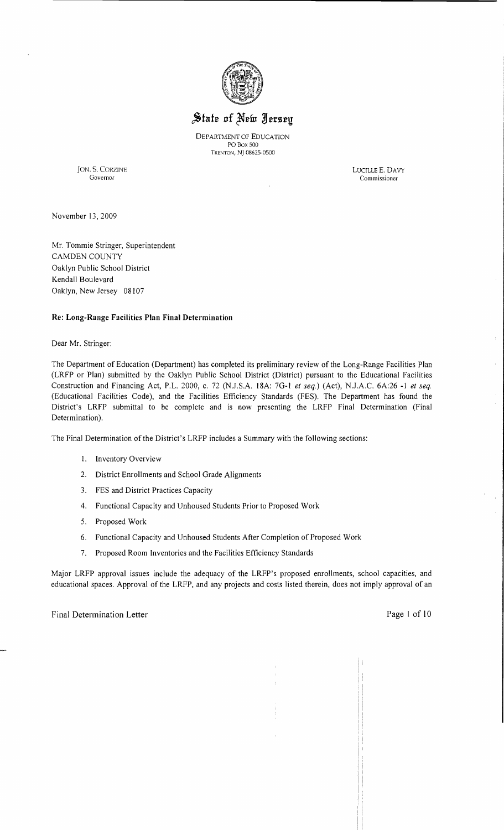

# State of New Jersey

DEPARTMENT OF EDUCATION POBox 500 TRENTON, NJ 08625·0500

JON. S. CORZINE LUCILLE E. DAVY

Governor Commissioner

November 13,2009

Mr. Tommie Stringer, Superintendent CAMDEN COUNTY Oaklyn Public School District Kendall Boulevard Oaklyn, New Jersey 08107

### Re: Long-Range Facilities Plan Final Determination

Dear Mr. Stringer:

The Department of Education (Department) has completed its preliminary review of the Long-Range Facilities Plan (LRFP or Plan) submitted by the Oaklyn Public School District (District) pursuant to the Educational Facilities Construction and Financing Act, P.L. 2000, c. 72 (NJ.S.A. 18A: 7G-l *et seq.)* (Act), NJ.A.C. 6A:26 -1 *et seq.*  (Educational Facilities Code), and the Facilities Efficiency Standards (FES). The Department has found the District's LRFP submittal to be complete and is now presenting the LRFP Final Determination (Final Determination).

The Final Determination of the District's LRFP includes a Summary with the following sections:

- 1. Inventory Overview
- 2. District Enrollments and School Grade Alignments
- 3. FES and District Practices Capacity
- 4. Functional Capacity and Unhoused Students Prior to Proposed Work
- 5. Proposed Work
- 6. Functional Capacity and Unhoused Students After Completion of Proposed Work
- 7. Proposed Room Inventories and the Facilities Efficiency Standards

Major LRFP approval issues include the adequacy of the LRFP's proposed enrollments, school capacities, and educational spaces. Approval of the LRFP, and any projects and costs listed therein, does not imply approval of an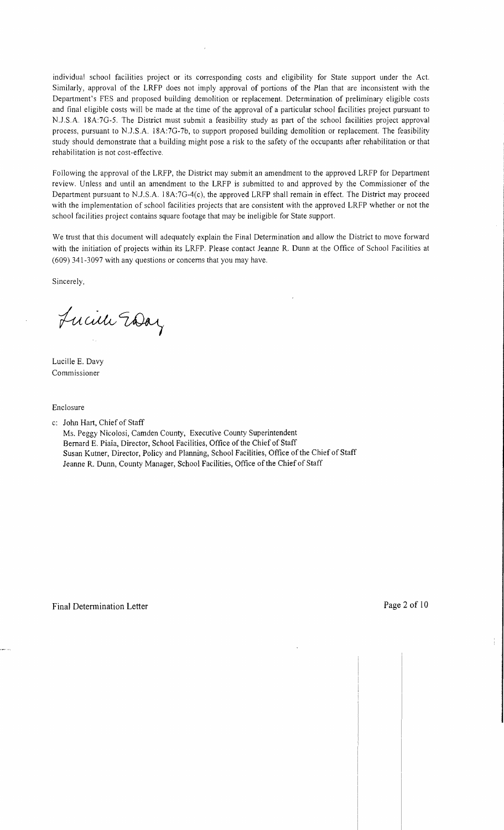individual school facilities project or its corresponding costs and eligibility for State support under the Act. Similarly, approval of the LRFP does not imply approval of portions of the Plan that are inconsistent with the Department's FES and proposed building demolition or replacement. Determination of preliminary eligible costs and final eligible costs will be made at the time of the approval of a particular school facilities project pursuant to N.J.S.A. 18A:7G-5. The District must submit a feasibility study as part of the school facilities project approval process, pursuant to N.J .SA 18A:7G-7b, to support proposed building demolition or replacement. The feasibility study should demonstrate that a building might pose a risk to the safety of the occupants after rehabilitation or that rehabilitation is not cost-effective.

Following the approval of the LRFP, the District may submit an amendment to the approved LRFP for Department review. Unless and until an amendment to the LRFP is submitted to and approved by the Commissioner of the Department pursuant to N.J.S.A. 18A:7G-4(c), the approved LRFP shall remain in effect. The District may proceed with the implementation of school facilities projects that are consistent with the approved LRFP whether or not the school facilities project contains square footage that may be ineligible for State support.

We trust that this document will adequately explain the Final Determination and allow the District to move forward with the initiation of projects within its LRFP. Please contact Jeanne R. Dunn at the Office of School Facilities at (609) 341-3097 with any questions or concerns that you may have.

Sincerely,

Lucille Eday

Lucille E. Davy Commissioner

Enclosure

c: John Hart, Chief of Staff

Ms. Peggy Nicolosi, Camden County, Executive County Superintendent Bernard E. Piaia, Director, School Facilities, Office of the Chief of Staff Susan Kutner, Director, Policy and Planning, School Facilities, Office of the Chief of Staff Jeanne R. Dunn, County Manager, School Facilities, Office of the Chief of Staff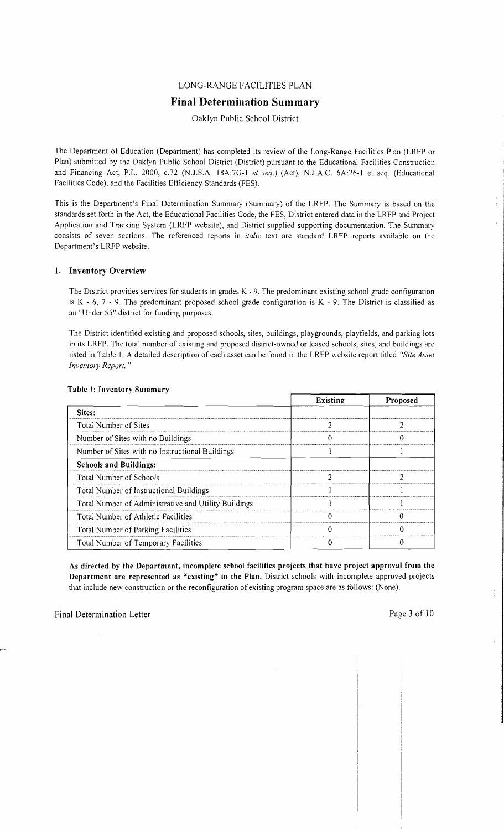## LONG-RANGE FACILITIES PLAN

# **Final Determination Summary**

## Oaklyn Public School District

The Department of Education (Department) has completed its review of the Long-Range Facilities Plan (LRFP or Plan) submitted by the Oaklyn Public School District (District) pursuant to the Educational Facilities Construction and Financing Act, P.L. 2000, *c.*72 (N.J.S.A. 18A:7G-1 *et seq.*) (Act), N.J.A.C. 6A:26-1 et seq. (Educational Facilities Code), and the Facilities Efficiency Standards (FES).

This is the Department's Final Determination Summary (Summary) of the LRFP. The Summary is based on the standards set forth in the Act, the Educational Facilities Code, the FES, District entered data in the LRFP and Project Application and Tracking System (LRFP website), and District supplied supporting documentation. The Summary consists of seven sections. The referenced reports in *italic* text are standard LRFP reports available on the Department's LRFP website.

### 1. Inventory Overview

The District provides services for students in grades K - 9. The predominant existing school grade configuration is K - 6,  $7 - 9$ . The predominant proposed school grade configuration is K - 9. The District is classified as an "Under 55" district for funding purposes.

The District identified existing and proposed schools, sites, buildings, playgrounds, playfields, and parking lots in its LRFP. The total number of existing and proposed district-owned or leased schools, sites, and buildings are listed in Table 1. A detailed description of each asset can be found in the LRFP website report titled *"Site Asset Inventory Report. "* 

|                                                      | <b>Existing</b> | Proposed |
|------------------------------------------------------|-----------------|----------|
| Sites:                                               |                 |          |
| Total Number of Sites                                |                 |          |
| Number of Sites with no Buildings                    |                 |          |
| Number of Sites with no Instructional Buildings      |                 |          |
| <b>Schools and Buildings:</b>                        |                 |          |
| Total Number of Schools                              |                 |          |
| Total Number of Instructional Buildings              |                 |          |
| Total Number of Administrative and Utility Buildings |                 |          |
| Total Number of Athletic Facilities                  |                 |          |
| Total Number of Parking Facilities                   |                 |          |
| Total Number of Temporary Facilities                 |                 |          |

#### Table 1: Inventory Summary

As directed by the Department, incomplete school facilities projects that have project approval from the Department are represented as "existing" in the Plan. District schools with incomplete approved projects that include new construction or the reconfiguration of existing program space are as follows: (None).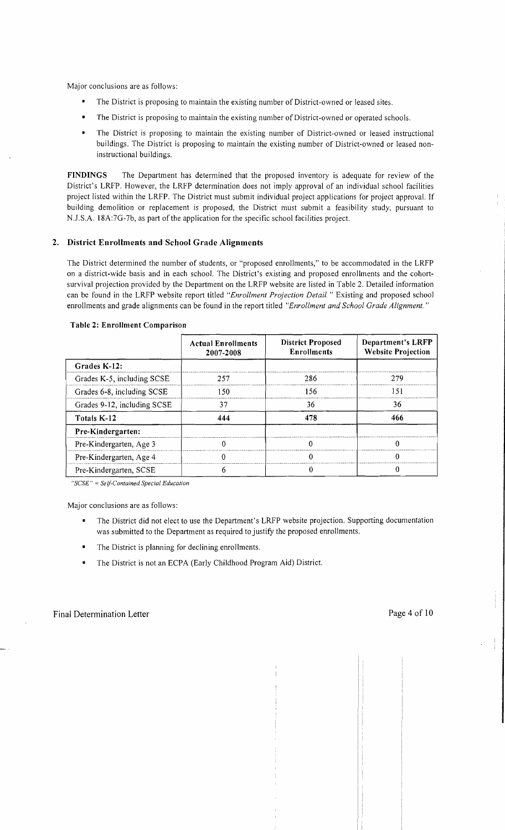Major conclusions are as follows:

- The District is proposing to maintain the existing number of District-owned or leased sites.
- The District is proposing to maintain the existing number of District-owned or operated schools.
- The District is proposing to maintain the existing number of District-owned or leased instructional buildings. The District is proposing to maintain the existing number of District-owned or leased noninstructional buildings.

FINDINGS The Department has determined that the proposed inventory is adequate for review of the District's LRFP. However, the LRFP determination does not imply approval of an individual school facilities project listed within the LRFP. The District must submit individual project applications for project approval. If building demolition or replacement is proposed, the District must submit a feasibility study, pursuant to NJ.S.A. l8A:7G-7b, as part of the application for the specific school facilities project.

### 2. District Enrollments and School Grade Alignments

The District determined the number of students, or "proposed enrollments," to be accommodated in the LRFP on a district-wide basis and in each school. The District's existing and proposed enrollments and the cohortsurvival projection provided by the Department on the LRFP website are listed in Table 2. Detailed information can be found in the LRFP website report titled *"Enrollment Projection Detail.* " Existing and proposed school enrollments and grade alignments can be found in the report titled *"Enrollment and School Grade Alignment. "* 

|                             | <b>Actual Enrollments</b><br>2007-2008 | <b>District Proposed</b><br><b>Enrollments</b> | <b>Department's LRFP</b><br><b>Website Projection</b> |  |
|-----------------------------|----------------------------------------|------------------------------------------------|-------------------------------------------------------|--|
| Grades K-12:                |                                        |                                                |                                                       |  |
| Grades K-5, including SCSE  | 257                                    | 286                                            | 279                                                   |  |
| Grades 6-8, including SCSE  | -50                                    | 156                                            | 151                                                   |  |
| Grades 9-12, including SCSE | 37                                     | 36                                             | 36                                                    |  |
| Totals K-12                 | 444                                    |                                                | 466                                                   |  |
| Pre-Kindergarten:           |                                        |                                                |                                                       |  |
| Pre-Kindergarten, Age 3     |                                        |                                                |                                                       |  |
| Pre-Kindergarten, Age 4     |                                        |                                                |                                                       |  |
| Pre-Kindergarten, SCSE      |                                        |                                                |                                                       |  |

#### Table 2: Enrollment Comparison

*"SCSE"* = *Self-Contained Special Education* 

Major conclusions are as follows:

- The District did not elect to use the Department's LRFP website projection. Supporting documentation  $\blacksquare$ was submitted to the Department as required to justify the proposed enrollments.
- The District is planning for declining enrollments.
- The District is not an ECPA (Early Childhood Program Aid) District.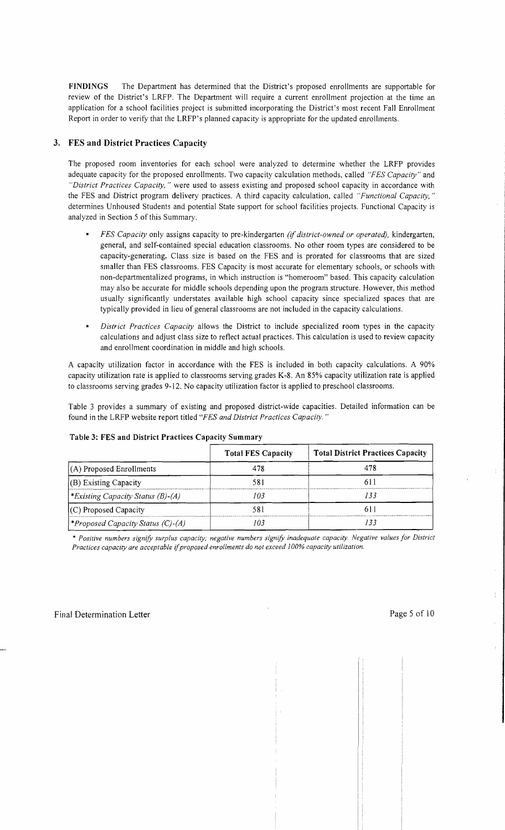FINDINGS The Department has determined that the District's proposed enrollments are supportable for review of the District's LRFP. The Department will require a current enrollment projection at the time an application for a school facilities project is submitted incorporating the District's most recent Fall Enrollment Report in order to verify that the LRFP's planned capacity is appropriate for the updated enrollments.

## 3. FES and District Practices Capacity

The proposed room inventories for each school were analyzed to determine whether the LRFP provides adequate capacity for the proposed enrollments. Two capacity calculation methods, called *"FES Capacity"* and *"District Practices Capacity,* " were used to assess existing and proposed school capacity in accordance with the FES and District program delivery practices. A third capacity calculation, called *"Functional Capacity, "*  determines Unhoused Students and potential State support for school facilities projects. Functional Capacity is analyzed in Section 5 of this Summary.

- *FES Capacity* only assigns capacity to pre-kindergarten *(if district-owned or operated),* kindergarten, general, and self-contained special education classrooms. No other room types are considered to be capacity-generating. Class size is based on the FES and is prorated for classrooms that are sized smaller than FES classrooms. FES Capacity is most accurate for elementary schools, or schools with non-departmentalized programs, in which instruction is "homeroom" based. This capacity calculation may also be accurate for middle schools depending upon the program structure. However, this method usually significantly understates available high school capacity since specialized spaces that are typically provided in lieu of general classrooms are not included in the capacity calculations.
- *District Practices Capacity* allows the District to include specialized room types in the capacity calculations and adjust class size to reflect actual practices. This calculation is used to review capacity and enrollment coordination in middle and high schools.

A capacity utilization factor in accordance with the FES is included in both capacity calculations. A 90% capacity utilization rate is applied to classrooms serving grades K-8. An 85% capacity utilization rate is applied to classrooms serving grades 9-12. No capacity utilization factor is applied to preschool classrooms.

Table 3 provides a summary of existing and proposed district-wide capacities. Detailed information can be found in the LRFP website report titled *"FES and District Practices Capacity. "* 

|                                         | <b>Total FES Capacity</b> | <b>Total District Practices Capacity</b> |
|-----------------------------------------|---------------------------|------------------------------------------|
| $(A)$ Proposed Enrollments              | 478                       | 478                                      |
| $ $ (B) Existing Capacity               | 581                       |                                          |
| <i>Existing Capacity Status (B)-(A)</i> | 103                       | 133                                      |
| $(C)$ Proposed Capacity                 | 581                       |                                          |
| <i>Froposed Capacity Status (C)-(A)</i> | 103                       |                                          |

#### Table 3: FES and District Practices Capacity Summary

\* *Positive numbers signify surplus capacity; negative numbers signify inadequate capacity. Negative values for District Practices capacity are acceptable* if*proposed enrollments do not exceed 100% capacity utilization.*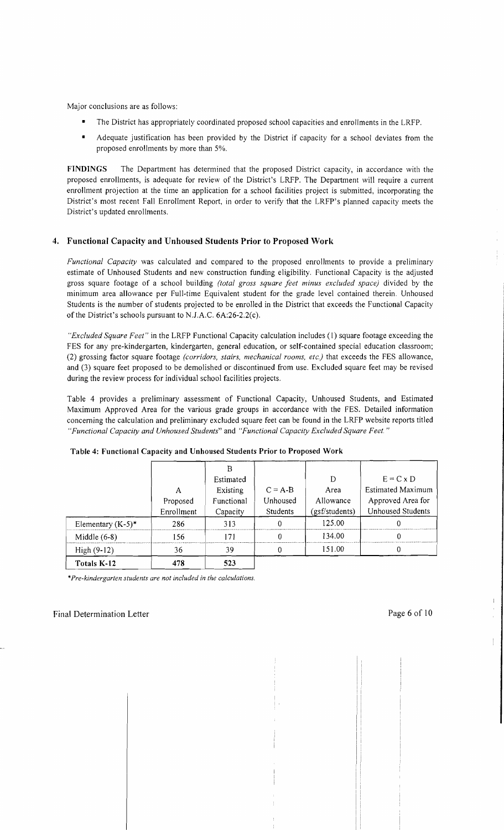Major conclusions are as follows:

- The District has appropriately coordinated proposed school capacities and enrollments in the LRFP.
- • Adequate justification has been provided by the District if capacity for a school deviates from the proposed enrollments by more than 5%.

FINDINGS The Department has determined that the proposed District capacity, in accordance with the proposed enrollments, is adequate for review of the District's LRFP. The Department will require a current enrollment projection at the time an application for a school facilities project is submitted, incorporating the District's most recent Fall Enrollment Report, in order to verify that the LRFP's planned capacity meets the District's updated enrollments.

## 4. Functional Capacity and Unhoused Students Prior to Proposed Work

*Functional Capacity* was calculated and compared to the proposed enrollments to provide a preliminary estimate of Unhoused Students and new construction funding eligibility. Functional Capacity is the adjusted gross square footage of a school building *(total gross square feet minus excluded space)* divided by the minimum area allowance per Full-time Equivalent student for the grade level contained therein. Unhoused Students is the number of students projected to be enrolled in the District that exceeds the Functional Capacity of the District's schools pursuant to N.J.A.C. 6A:26-2.2(c).

*"Excluded Square Feet"* in the LRFP Functional Capacity calculation includes (I) square footage exceeding the FES for any pre-kindergarten, kindergarten, general education, or self-contained special education classroom; (2) grossing factor square footage *(corridors, stairs, mechanical rooms, etc)* that exceeds the FES allowance, and (3) square feet proposed to be demolished or discontinued from use. Excluded square feet may be revised during the review process for individual school facilities projects.

Table 4 provides a preliminary assessment of Functional Capacity, Unhoused Students, and Estimated Maximum Approved Area for the various grade groups in accordance with the FES. Detailed information concerning the calculation and preliminary excluded square feet can be found in the LRFP website reports titled *"Functional Capacity and Unhoused Students"* and *"Functional Capacity Excluded Square Feet. "* 

|                      |            | Estimated  |           | D              | $E = C \times D$         |
|----------------------|------------|------------|-----------|----------------|--------------------------|
|                      | А          | Existing   | $C = A-B$ | Area           | <b>Estimated Maximum</b> |
|                      | Proposed   | Functional | Unhoused  | Allowance      | Approved Area for        |
|                      | Enrollment | Capacity   | Students  | (gsf/students) | <b>Unhoused Students</b> |
| Elementary $(K-5)^*$ | 286        | 313        |           | 125.00         |                          |
| Middle $(6-8)$       | 156        | 171        |           | 134.00         |                          |
| High $(9-12)$        | 36         | 39         |           | 151.00         |                          |
| Totals K-12          | 478        | 523        |           |                |                          |

#### Table 4: Functional Capacity and Unhoused Students Prior to Proposed Work

\**Pre-kindergarten students are not included in the calculations.*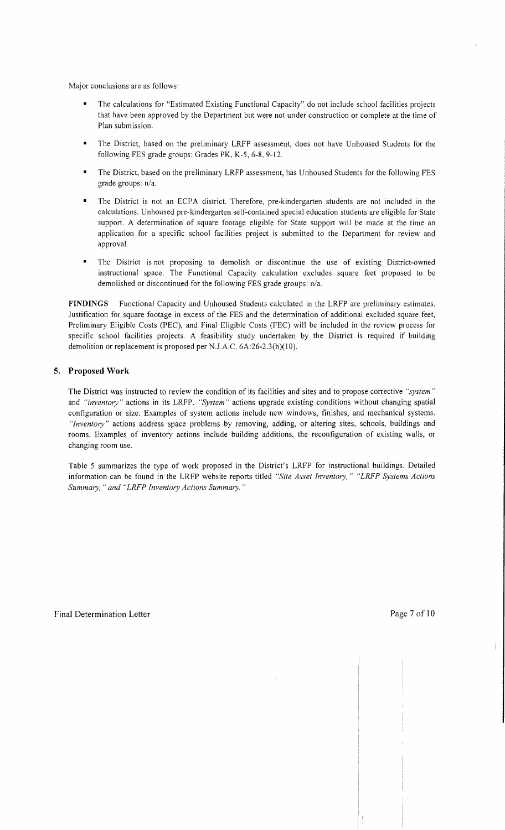Major conclusions are as follows:

- The calculations for "Estimated Existing Functional Capacity" do not include school facilities projects that have been approved by the Department but were not under construction or complete at the time of Plan submission.
- The District, based on the preliminary LRFP assessment, does not have Unhoused Students for the following FES grade groups: Grades PK, K-5, 6-8, 9-12.
- The District, based on the preliminary LRFP assessment, has Unhoused Students for the following FES grade groups: n/a.
- The District is not an ECPA district. Therefore, pre-kindergarten students are not included in the calculations. Unhoused pre-kindergarten self-contained special education students are eligible for State support. A determination of square footage eligible for State support will be made at the time an application for a specific school facilities project is submitted to the Department for review and approval.
- The District is not proposing to demolish or discontinue the use of existing District-owned instructional space. The Functional Capacity calculation excludes square feet proposed to be demolished or discontinued for the following FES grade groups: n/a.

**FINDINGS** Functional Capacity and Unhoused Students calculated in the LRFP are preliminary estimates. Justification for square footage in excess of the FES and the determination of additional excluded square feet, Preliminary Eligible Costs (PEC), and Final Eligible Costs (FEC) will be included in the review process for specific school facilities projects. A feasibility study undertaken by the District is required if building demolition or replacement is proposed per NJ.A.C. 6A:26-2.3(b)(1O).

### **5. Proposed Work**

The District was instructed to review the condition of its facilities and sites and to propose corrective *"jystem"*  and *"inventory"* actions in its LRFP. *"System"* actions upgrade existing conditions without changing spatial configuration or size. Examples of system actions include new windows, finishes, and mechanical systems. *"Inventory"* actions address space problems by removing, adding, or altering sites, schools, buildings and rooms. Examples of inventory actions include building additions, the reconfiguration of existing walls, or changing room use.

Table 5 summarizes the type of work proposed in the District's LRFP for instructional buildings. Detailed information can be found in the LRFP website reports titled *"Site Asset Inventory," "LRFP Systems Actions Summary,* " *and "LRFP Inventory Actions Summary. "*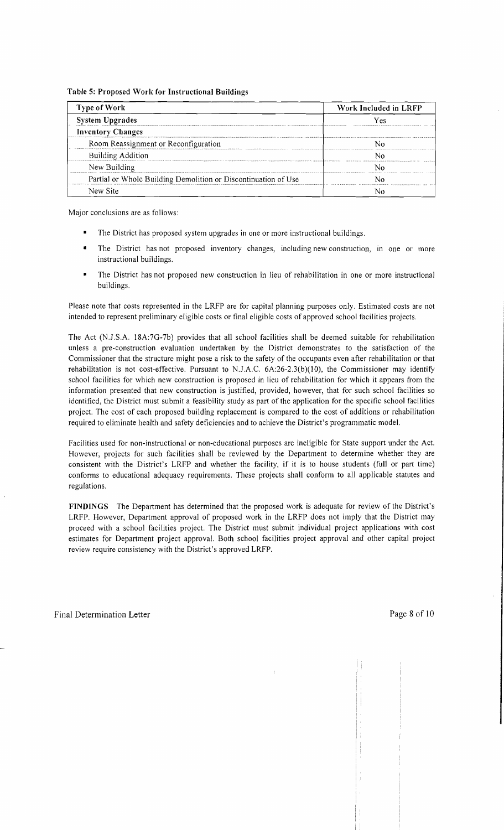#### Table 5: Proposed Work for Instructional Buildings

| <b>Type of Work</b>                                            | Work Included in LRFP |  |  |
|----------------------------------------------------------------|-----------------------|--|--|
| <b>System Upgrades</b>                                         | Y es                  |  |  |
| <b>Inventory Changes</b>                                       |                       |  |  |
| Room Reassignment or Reconfiguration                           |                       |  |  |
| <b>Building Addition</b>                                       |                       |  |  |
| New Building                                                   |                       |  |  |
| Partial or Whole Building Demolition or Discontinuation of Use |                       |  |  |
| New Site                                                       |                       |  |  |

Major conclusions are as follows:

- The District has proposed system upgrades in one or more instructional buildings.
- The District has not proposed inventory changes, including new construction, in one or more instructional buildings.
- The District has not proposed new construction in lieu of rehabilitation in one or more instructional buildings.

Please note that costs represented in the LRFP are for capital planning purposes only. Estimated costs are not intended to represent preliminary eligible costs or final eligible costs of approved school facilities projects.

The Act (N.J.S.A. 18A:7G-7b) provides that all school facilities shall be deemed suitable for rehabilitation unless a pre-construction evaluation undertaken by the District demonstrates to the satisfaction of the Commissioner that the structure might pose a risk to the safety of the occupants even after rehabilitation or that rehabilitation is not cost-effective. Pursuant to N.J.A.C.  $6A:26-2.3(b)(10)$ , the Commissioner may identify school facilities for which new construction is proposed in lieu of rehabilitation for which it appears from the information presented that new construction is justified, provided, however, that for such school facilities so identified, the District must submit a feasibility study as part of the application for the specific school facilities project. The cost of each proposed building replacement is compared to the cost of additions or rehabilitation required to eliminate health and safety deficiencies and to achieve the District's programmatic model.

Facilities used for non-instructional or non-educational purposes are ineligible for State support under the Act. However, projects for such facilities shall be reviewed by the Department to determine whether they are consistent with the District's LRFP and whether the facility, if it is to house students (full or part time) conforms to educational adequacy requirements. These projects shall conform to all applicable statutes and regulations.

FINDINGS The Department has determined that the proposed work is adequate for review of the District's LRFP. However, Department approval of proposed work in the LRFP does not imply that the District may proceed with a school facilities project. The District must submit individual project applications with cost estimates for Department project approval. Both school facilities project approval and other capital project review require consistency with the District's approved LRFP.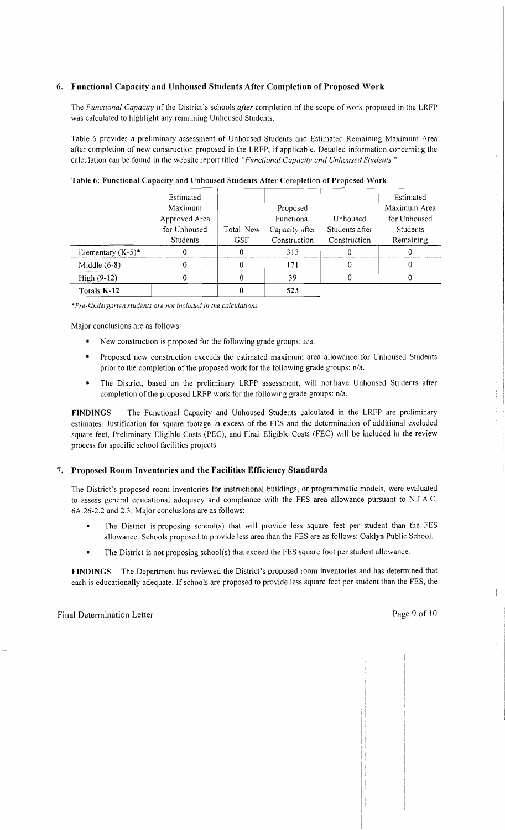## 6. Functional Capacity and Unhoused Students After Completion of Proposed Work

The *Functional Capacity* of the District's schools *after* completion of the scope of work proposed in the LRFP was calculated to highlight any remaining Unhoused Students.

Table 6 provides a preliminary assessment of Unhoused Students and Estimated Remaining Maximum Area after completion of new construction proposed in the LRFP, if applicable. Detailed information concerning the calculation can be found in the website report titled *"Functional Capacity and Unhoused Students."* 

|                      | Estimated<br>Maximum<br>Approved Area<br>for Unhoused | Total New  | Proposed<br>Functional<br>Capacity after | Unhoused<br>Students after | Estimated<br>Maximum Area<br>for Unhoused<br><b>Students</b> |
|----------------------|-------------------------------------------------------|------------|------------------------------------------|----------------------------|--------------------------------------------------------------|
|                      | <b>Students</b>                                       | <b>GSF</b> | Construction                             | Construction               | Remaining                                                    |
| Elementary $(K-5)^*$ |                                                       |            | 313                                      |                            |                                                              |
| Middle $(6-8)$       |                                                       |            | 71                                       |                            |                                                              |
| $High (9-12)$        |                                                       |            | 39                                       |                            |                                                              |
| Totals K-12          |                                                       |            | 523                                      |                            |                                                              |

Table 6: Functional Capacity and Unhoused Students After Completion of Proposed Work

*·Pre-kindergarten students are not included in the calculations.* 

Major conclusions are as follows:

- New construction is proposed for the following grade groups:  $n/a$ .
- Proposed new construction exceeds the estimated maximum area allowance for Unhoused Students prior to the completion of the proposed work for the following grade groups: n/a.
- The District, based on the preliminary LRFP assessment, will not have Unhoused Students after completion of the proposed LRFP work for the following grade groups: n/a.

FINDINGS The Functional Capacity and Unhoused Students calculated in the LRFP are preliminary estimates. Justification for square footage in excess of the FES and the determination of additional excluded square feet, Preliminary Eligible Costs (PEC), and Final Eligible Costs (FEC) will be included in the review process for specific school facilities projects.

### 7. Proposed Room Inventories and the Facilities Efficiency Standards

The District's proposed room inventories for instructional buildings, or programmatic models, were evaluated to assess general educational adequacy and compliance with the FES area allowance pursuant to N.J.A.C. 6A:26-2.2 and 2.3. Major conclusions are as follows:

- The District is proposing school(s) that will provide less square feet per student than the FES allowance. Schools proposed to provide less area than the FES are as follows: Oaklyn Public School.
- The District is not proposing school(s) that exceed the FES square foot per student allowance.

FINDINGS The Department has reviewed the District's proposed room inventories and has determined that each is educationally adequate. If schools are proposed to provide less square feet per student than the FES, the